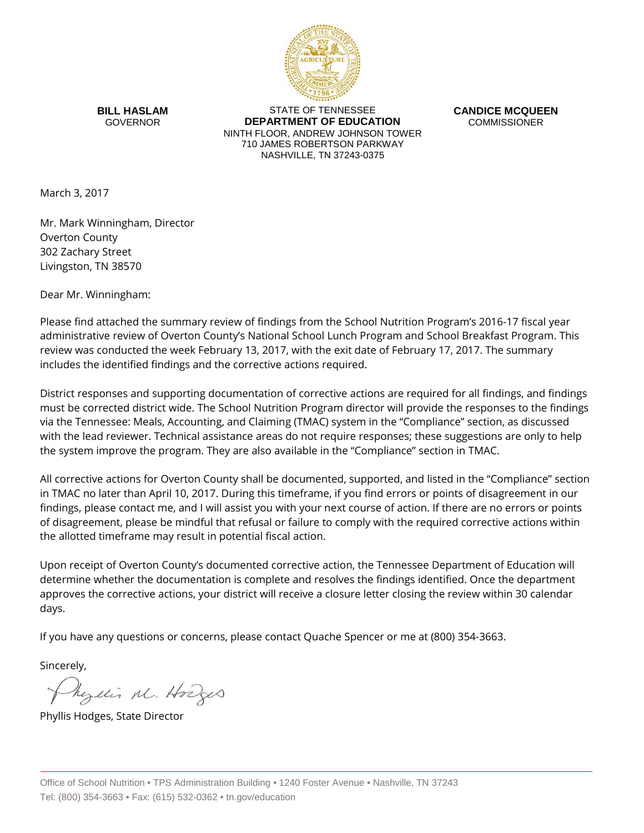

**BILL HASLAM** GOVERNOR

STATE OF TENNESSEE **DEPARTMENT OF EDUCATION** NINTH FLOOR, ANDREW JOHNSON TOWER 710 JAMES ROBERTSON PARKWAY NASHVILLE, TN 37243-0375

**CANDICE MCQUEEN** COMMISSIONER

March 3, 2017

Mr. Mark Winningham, Director Overton County 302 Zachary Street Livingston, TN 38570

Dear Mr. Winningham:

Please find attached the summary review of findings from the School Nutrition Program's 2016-17 fiscal year administrative review of Overton County's National School Lunch Program and School Breakfast Program. This review was conducted the week February 13, 2017, with the exit date of February 17, 2017. The summary includes the identified findings and the corrective actions required.

District responses and supporting documentation of corrective actions are required for all findings, and findings must be corrected district wide. The School Nutrition Program director will provide the responses to the findings via the Tennessee: Meals, Accounting, and Claiming (TMAC) system in the "Compliance" section, as discussed with the lead reviewer. Technical assistance areas do not require responses; these suggestions are only to help the system improve the program. They are also available in the "Compliance" section in TMAC.

All corrective actions for Overton County shall be documented, supported, and listed in the "Compliance" section in TMAC no later than April 10, 2017. During this timeframe, if you find errors or points of disagreement in our findings, please contact me, and I will assist you with your next course of action. If there are no errors or points of disagreement, please be mindful that refusal or failure to comply with the required corrective actions within the allotted timeframe may result in potential fiscal action.

Upon receipt of Overton County's documented corrective action, the Tennessee Department of Education will determine whether the documentation is complete and resolves the findings identified. Once the department approves the corrective actions, your district will receive a closure letter closing the review within 30 calendar days.

If you have any questions or concerns, please contact Quache Spencer or me at (800) 354-3663.

Sincerely,

Myllis M. Hodges

Phyllis Hodges, State Director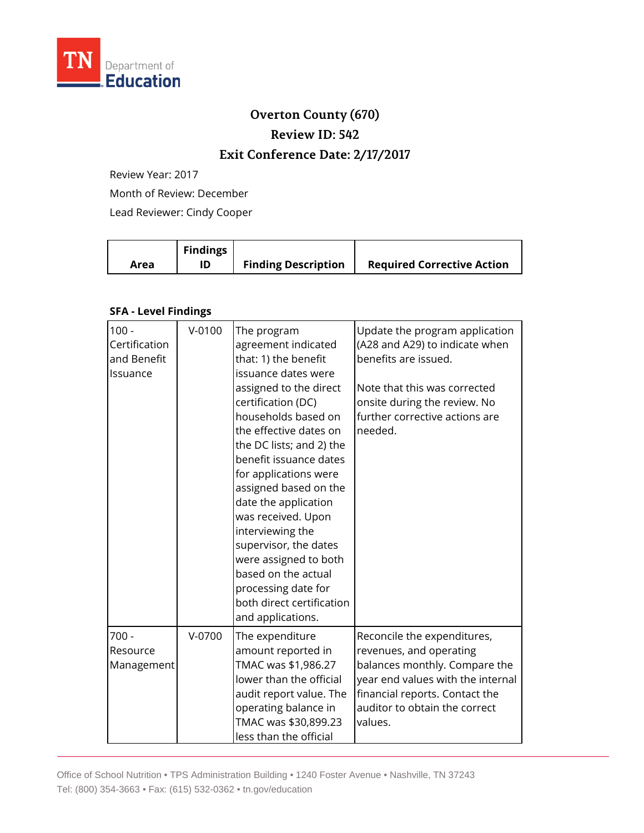

## **Overton County (670)**

**Review ID: 542**

## **Exit Conference Date: 2/17/2017**

Review Year: 2017

Month of Review: December

Lead Reviewer: Cindy Cooper

|      | <b>Findings</b> |                            |                                   |
|------|-----------------|----------------------------|-----------------------------------|
| Area |                 | <b>Finding Description</b> | <b>Required Corrective Action</b> |

## **SFA - Level Findings**

| $100 -$<br>Certification<br>and Benefit<br>Issuance | $V - 0100$ | The program<br>agreement indicated<br>that: 1) the benefit<br>issuance dates were<br>assigned to the direct<br>certification (DC)<br>households based on<br>the effective dates on<br>the DC lists; and 2) the<br>benefit issuance dates<br>for applications were<br>assigned based on the<br>date the application<br>was received. Upon<br>interviewing the<br>supervisor, the dates<br>were assigned to both<br>based on the actual<br>processing date for<br>both direct certification<br>and applications. | Update the program application<br>(A28 and A29) to indicate when<br>benefits are issued.<br>Note that this was corrected<br>onsite during the review. No<br>further corrective actions are<br>needed.      |
|-----------------------------------------------------|------------|----------------------------------------------------------------------------------------------------------------------------------------------------------------------------------------------------------------------------------------------------------------------------------------------------------------------------------------------------------------------------------------------------------------------------------------------------------------------------------------------------------------|------------------------------------------------------------------------------------------------------------------------------------------------------------------------------------------------------------|
| $700 -$<br>Resource<br>Management                   | $V-0700$   | The expenditure<br>amount reported in<br>TMAC was \$1,986.27<br>lower than the official<br>audit report value. The<br>operating balance in<br>TMAC was \$30,899.23<br>less than the official                                                                                                                                                                                                                                                                                                                   | Reconcile the expenditures,<br>revenues, and operating<br>balances monthly. Compare the<br>year end values with the internal<br>financial reports. Contact the<br>auditor to obtain the correct<br>values. |